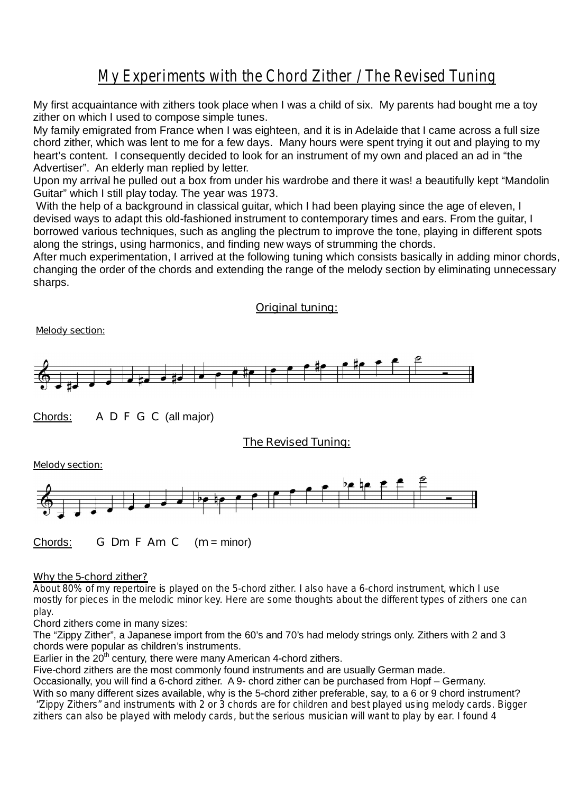## *My Experiments with the Chord Zither / The Revised Tuning*

My first acquaintance with zithers took place when I was a child of six. My parents had bought me a toy zither on which I used to compose simple tunes.

My family emigrated from France when I was eighteen, and it is in Adelaide that I came across a full size chord zither, which was lent to me for a few days. Many hours were spent trying it out and playing to my heart's content. I consequently decided to look for an instrument of my own and placed an ad in "the Advertiser". An elderly man replied by letter.

Upon my arrival he pulled out a box from under his wardrobe and there it was! a beautifully kept "Mandolin Guitar" which I still play today. The year was 1973.

With the help of a background in classical guitar, which I had been playing since the age of eleven, I devised ways to adapt this old-fashioned instrument to contemporary times and ears. From the guitar, I borrowed various techniques, such as angling the plectrum to improve the tone, playing in different spots along the strings, using harmonics, and finding new ways of strumming the chords.

After much experimentation, I arrived at the following tuning which consists basically in adding minor chords, changing the order of the chords and extending the range of the melody section by eliminating unnecessary sharps.

### **Original tuning:**

 **Melody section:**  Chords: **A D F G C** (all major) **The Revised Tuning: Melody section:** 

Chords: **G Dm F Am C** (**m** = minor)

#### **Why the 5-chord zither?**

*About 80% of my repertoire is played on the 5-chord zither. I also have a 6-chord instrument, which I use mostly for pieces in the melodic minor key. Here are some thoughts about the different types of zithers one can play.* 

Chord zithers come in many sizes:

The "Zippy Zither", a Japanese import from the 60's and 70's had melody strings only. Zithers with 2 and 3 chords were popular as children's instruments.

Earlier in the  $20<sup>th</sup>$  century, there were many American 4-chord zithers.

Five-chord zithers are the most commonly found instruments and are usually German made.

Occasionally, you will find a 6-chord zither. A 9- chord zither can be purchased from Hopf – Germany. With so many different sizes available, why is the 5-chord zither preferable, say, to a 6 or 9 chord instrument?  *"Zippy Zithers" and instruments with 2 or 3 chords are for children and best played using melody cards. Bigger zithers can also be played with melody cards, but the serious musician will want to play by ear. I found 4*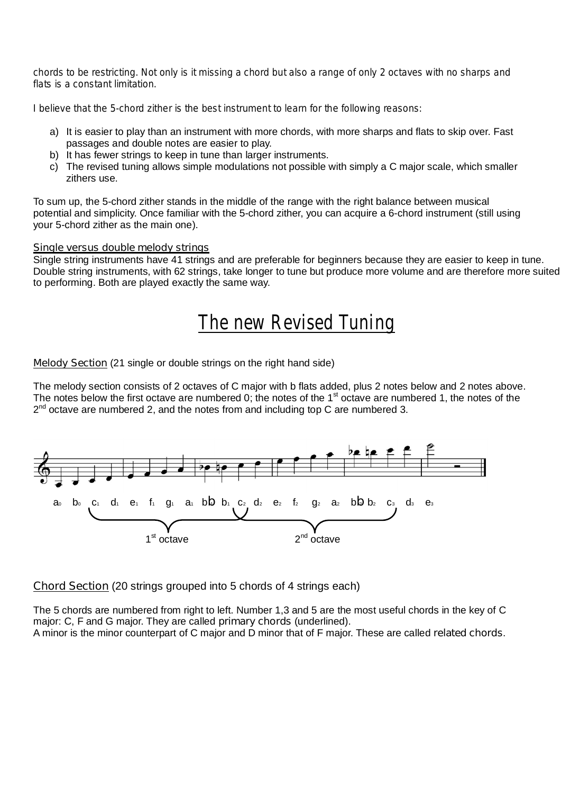*chords to be restricting. Not only is it missing a chord but also a range of only 2 octaves with no sharps and flats is a constant limitation.* 

*I believe that the 5-chord zither is the best instrument to learn for the following reasons:* 

- a) It is easier to play than an instrument with more chords, with more sharps and flats to skip over. Fast passages and double notes are easier to play.
- b) It has fewer strings to keep in tune than larger instruments.
- c) The revised tuning allows simple modulations not possible with simply a C major scale, which smaller zithers use.

To sum up, the 5-chord zither stands in the middle of the range with the right balance between musical potential and simplicity. Once familiar with the 5-chord zither, you can acquire a 6-chord instrument (still using your 5-chord zither as the main one).

#### **Single versus double melody strings**

Single string instruments have 41 strings and are preferable for beginners because they are easier to keep in tune. Double string instruments, with 62 strings, take longer to tune but produce more volume and are therefore more suited to performing. Both are played exactly the same way.

# *The new Revised Tuning*

**Melody Section** (21 single or double strings on the right hand side)

The melody section consists of 2 octaves of C major with b flats added, plus 2 notes below and 2 notes above. The notes below the first octave are numbered 0; the notes of the  $1<sup>st</sup>$  octave are numbered 1, the notes of the  $2^{nd}$  octave are numbered 2, and the notes from and including top C are numbered 3.



**Chord Section** (20 strings grouped into 5 chords of 4 strings each)

The 5 chords are numbered from right to left. Number 1,3 and 5 are the most useful chords in the key of C major: C, F and G major. They are called **primary chords** (underlined). A minor is the minor counterpart of C major and D minor that of F major. These are called **related chords**.